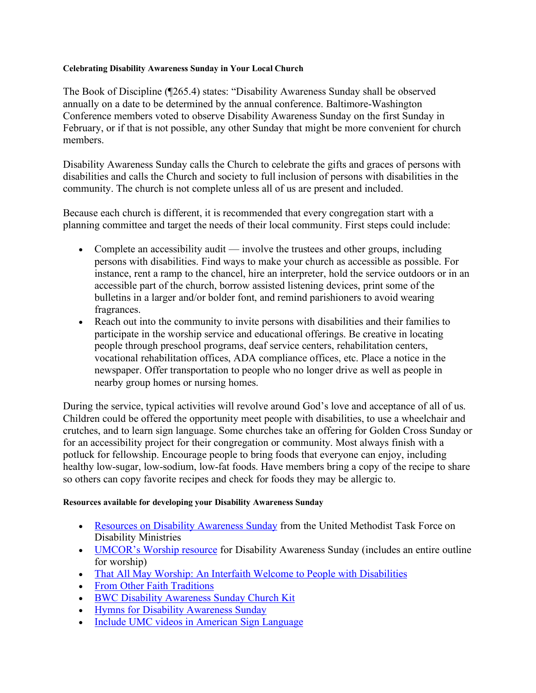## **Celebrating Disability Awareness Sunday in Your Local Church**

The Book of Discipline (¶265.4) states: "Disability Awareness Sunday shall be observed annually on a date to be determined by the annual conference. Baltimore-Washington Conference members voted to observe Disability Awareness Sunday on the first Sunday in February, or if that is not possible, any other Sunday that might be more convenient for church members.

Disability Awareness Sunday calls the Church to celebrate the gifts and graces of persons with disabilities and calls the Church and society to full inclusion of persons with disabilities in the community. The church is not complete unless all of us are present and included.

Because each church is different, it is recommended that every congregation start with a planning committee and target the needs of their local community. First steps could include:

- Complete an accessibility audit involve the trustees and other groups, including persons with disabilities. Find ways to make your church as accessible as possible. For instance, rent a ramp to the chancel, hire an interpreter, hold the service outdoors or in an accessible part of the church, borrow assisted listening devices, print some of the bulletins in a larger and/or bolder font, and remind parishioners to avoid wearing fragrances.
- Reach out into the community to invite persons with disabilities and their families to participate in the worship service and educational offerings. Be creative in locating people through preschool programs, deaf service centers, rehabilitation centers, vocational rehabilitation offices, ADA compliance offices, etc. Place a notice in the newspaper. Offer transportation to people who no longer drive as well as people in nearby group homes or nursing homes.

During the service, typical activities will revolve around God's love and acceptance of all of us. Children could be offered the opportunity meet people with disabilities, to use a wheelchair and crutches, and to learn sign language. Some churches take an offering for Golden Cross Sunday or for an accessibility project for their congregation or community. Most always finish with a potluck for fellowship. Encourage people to bring foods that everyone can enjoy, including healthy low-sugar, low-sodium, low-fat foods. Have members bring a copy of the recipe to share so others can copy favorite recipes and check for foods they may be allergic to.

## **Resources available for developing your Disability Awareness Sunday**

- Resources on Disability Awareness Sunday from the United Methodist Task Force on Disability Ministries
- UMCOR's Worship resource for Disability Awareness Sunday (includes an entire outline for worship)
- That All May Worship: An Interfaith Welcome to People with Disabilities
- From Other Faith Traditions
- BWC Disability Awareness Sunday Church Kit
- Hymns for Disability Awareness Sunday
- Include UMC videos in American Sign Language